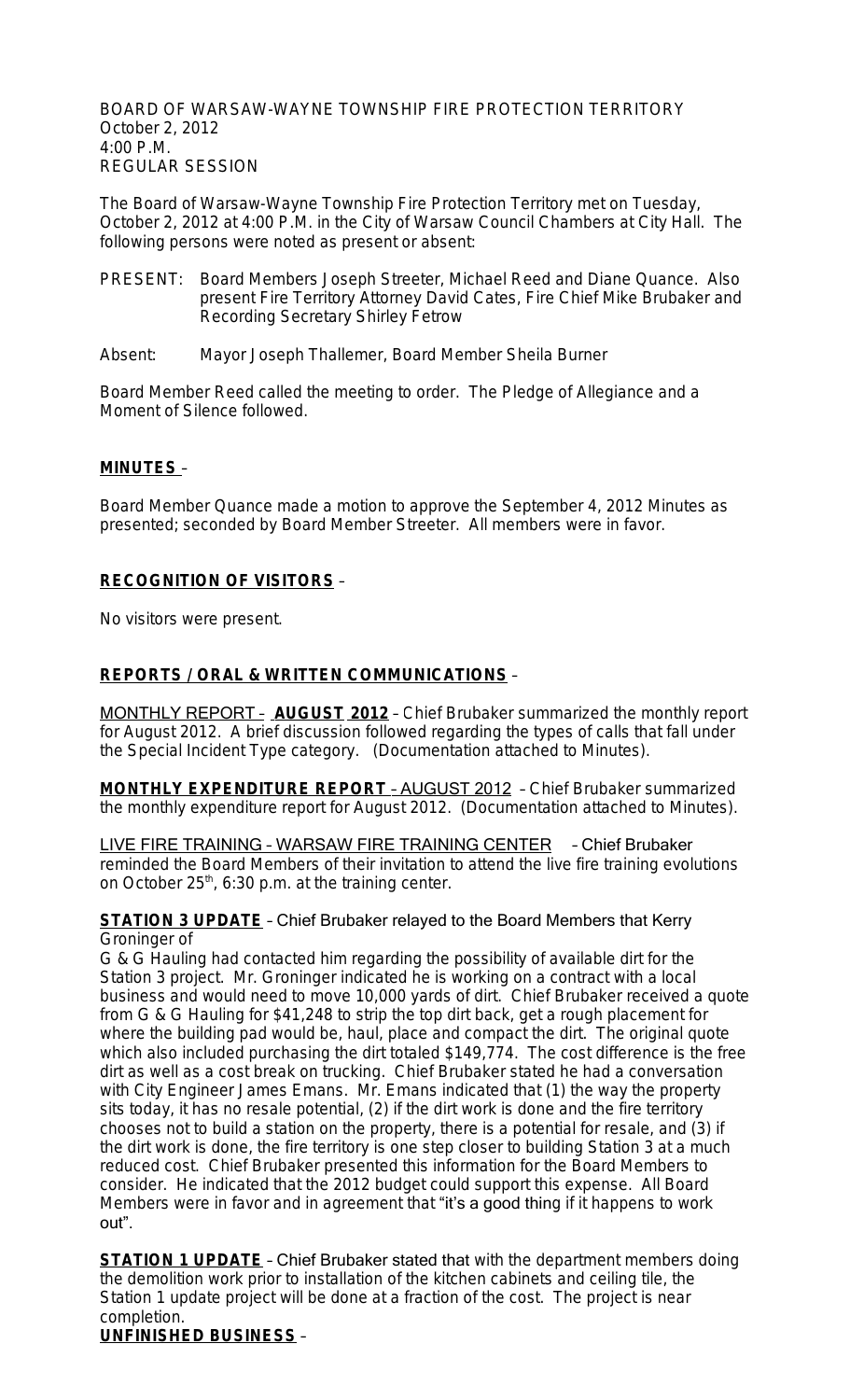BOARD OF WARSAW-WAYNE TOWNSHIP FIRE PROTECTION TERRITORY October 2, 2012 4:00 P.M. REGULAR SESSION

The Board of Warsaw-Wayne Township Fire Protection Territory met on Tuesday, October 2, 2012 at 4:00 P.M. in the City of Warsaw Council Chambers at City Hall. The following persons were noted as present or absent:

- PRESENT: Board Members Joseph Streeter, Michael Reed and Diane Quance. Also present Fire Territory Attorney David Cates, Fire Chief Mike Brubaker and Recording Secretary Shirley Fetrow
- Absent: Mayor Joseph Thallemer, Board Member Sheila Burner

Board Member Reed called the meeting to order. The Pledge of Allegiance and a Moment of Silence followed.

#### **MINUTES** –

Board Member Quance made a motion to approve the September 4, 2012 Minutes as presented; seconded by Board Member Streeter. All members were in favor.

## **RECOGNITION OF VISITORS** –

No visitors were present.

## **REPORTS / ORAL & WRITTEN COMMUNICATIONS** –

MONTHLY REPORT – **AUGUST 2012** – Chief Brubaker summarized the monthly report for August 2012. A brief discussion followed regarding the types of calls that fall under the Special Incident Type category. (Documentation attached to Minutes).

**MONTHLY EXPENDITURE REPORT** – AUGUST 2012 – Chief Brubaker summarized the monthly expenditure report for August 2012. (Documentation attached to Minutes).

LIVE FIRE TRAINING – WARSAW FIRE TRAINING CENTER – Chief Brubaker reminded the Board Members of their invitation to attend the live fire training evolutions on October  $25<sup>th</sup>$ , 6:30 p.m. at the training center.

#### **STATION 3 UPDATE** – Chief Brubaker relayed to the Board Members that Kerry Groninger of

G & G Hauling had contacted him regarding the possibility of available dirt for the Station 3 project. Mr. Groninger indicated he is working on a contract with a local business and would need to move 10,000 yards of dirt. Chief Brubaker received a quote from G & G Hauling for \$41,248 to strip the top dirt back, get a rough placement for where the building pad would be, haul, place and compact the dirt. The original quote which also included purchasing the dirt totaled \$149,774. The cost difference is the free dirt as well as a cost break on trucking. Chief Brubaker stated he had a conversation with City Engineer James Emans. Mr. Emans indicated that (1) the way the property sits today, it has no resale potential, (2) if the dirt work is done and the fire territory chooses not to build a station on the property, there is a potential for resale, and (3) if the dirt work is done, the fire territory is one step closer to building Station 3 at a much reduced cost. Chief Brubaker presented this information for the Board Members to consider. He indicated that the 2012 budget could support this expense. All Board Members were in favor and in agreement that "it's a good thing if it happens to work out".

**STATION 1 UPDATE** - Chief Brubaker stated that with the department members doing the demolition work prior to installation of the kitchen cabinets and ceiling tile, the Station 1 update project will be done at a fraction of the cost. The project is near completion.

**UNFINISHED BUSINESS** –